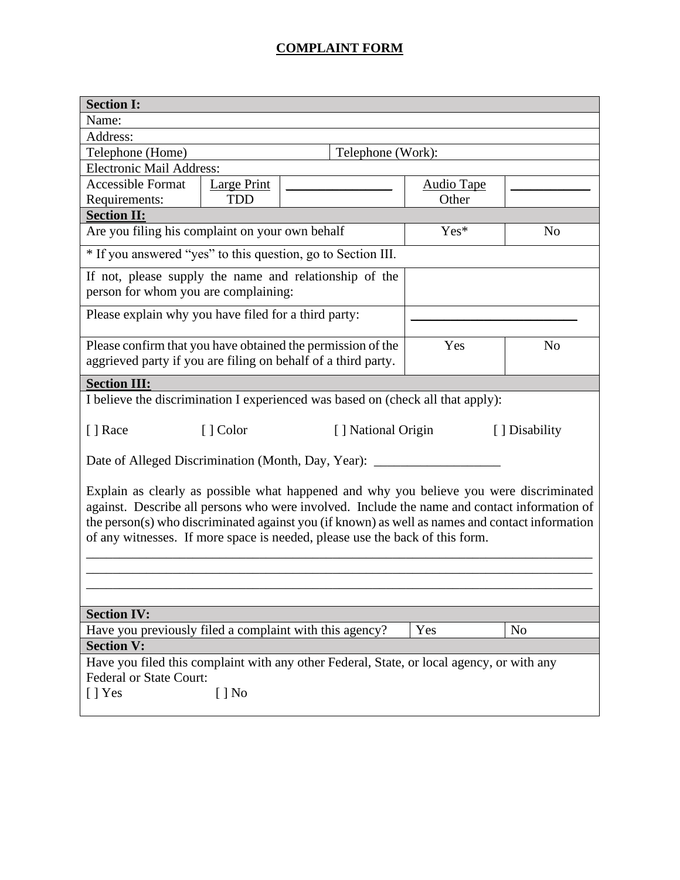## **COMPLAINT FORM**

| <b>Section I:</b>                                                                                                                                                                                                                                                                                                                                                          |                    |                                      |                   |                |  |
|----------------------------------------------------------------------------------------------------------------------------------------------------------------------------------------------------------------------------------------------------------------------------------------------------------------------------------------------------------------------------|--------------------|--------------------------------------|-------------------|----------------|--|
| Name:                                                                                                                                                                                                                                                                                                                                                                      |                    |                                      |                   |                |  |
| Address:                                                                                                                                                                                                                                                                                                                                                                   |                    |                                      |                   |                |  |
| Telephone (Work):<br>Telephone (Home)                                                                                                                                                                                                                                                                                                                                      |                    |                                      |                   |                |  |
| Electronic Mail Address:                                                                                                                                                                                                                                                                                                                                                   |                    |                                      |                   |                |  |
| <b>Accessible Format</b>                                                                                                                                                                                                                                                                                                                                                   | <b>Large Print</b> |                                      | <b>Audio Tape</b> |                |  |
| Requirements:                                                                                                                                                                                                                                                                                                                                                              | <b>TDD</b>         |                                      | Other             |                |  |
| <b>Section II:</b>                                                                                                                                                                                                                                                                                                                                                         |                    |                                      |                   |                |  |
| Are you filing his complaint on your own behalf                                                                                                                                                                                                                                                                                                                            |                    |                                      | Yes*              | N <sub>o</sub> |  |
| * If you answered "yes" to this question, go to Section III.                                                                                                                                                                                                                                                                                                               |                    |                                      |                   |                |  |
| If not, please supply the name and relationship of the<br>person for whom you are complaining:                                                                                                                                                                                                                                                                             |                    |                                      |                   |                |  |
| Please explain why you have filed for a third party:                                                                                                                                                                                                                                                                                                                       |                    |                                      |                   |                |  |
|                                                                                                                                                                                                                                                                                                                                                                            |                    |                                      |                   |                |  |
| Please confirm that you have obtained the permission of the<br>aggrieved party if you are filing on behalf of a third party.                                                                                                                                                                                                                                               |                    |                                      | Yes               | N <sub>o</sub> |  |
|                                                                                                                                                                                                                                                                                                                                                                            |                    |                                      |                   |                |  |
| <b>Section III:</b>                                                                                                                                                                                                                                                                                                                                                        |                    |                                      |                   |                |  |
| I believe the discrimination I experienced was based on (check all that apply):                                                                                                                                                                                                                                                                                            |                    |                                      |                   |                |  |
| [ ] Race                                                                                                                                                                                                                                                                                                                                                                   | [ ] Color          | [] National Origin<br>[ ] Disability |                   |                |  |
| Date of Alleged Discrimination (Month, Day, Year): __                                                                                                                                                                                                                                                                                                                      |                    |                                      |                   |                |  |
| Explain as clearly as possible what happened and why you believe you were discriminated<br>against. Describe all persons who were involved. Include the name and contact information of<br>the person(s) who discriminated against you (if known) as well as names and contact information<br>of any witnesses. If more space is needed, please use the back of this form. |                    |                                      |                   |                |  |
|                                                                                                                                                                                                                                                                                                                                                                            |                    |                                      |                   |                |  |
| <b>Section IV:</b>                                                                                                                                                                                                                                                                                                                                                         |                    |                                      |                   |                |  |
| Have you previously filed a complaint with this agency?                                                                                                                                                                                                                                                                                                                    |                    |                                      | Yes               | N <sub>o</sub> |  |
| <b>Section V:</b>                                                                                                                                                                                                                                                                                                                                                          |                    |                                      |                   |                |  |
| Have you filed this complaint with any other Federal, State, or local agency, or with any                                                                                                                                                                                                                                                                                  |                    |                                      |                   |                |  |
| Federal or State Court:                                                                                                                                                                                                                                                                                                                                                    |                    |                                      |                   |                |  |
| $[$   Yes                                                                                                                                                                                                                                                                                                                                                                  | $[ ]$ No           |                                      |                   |                |  |